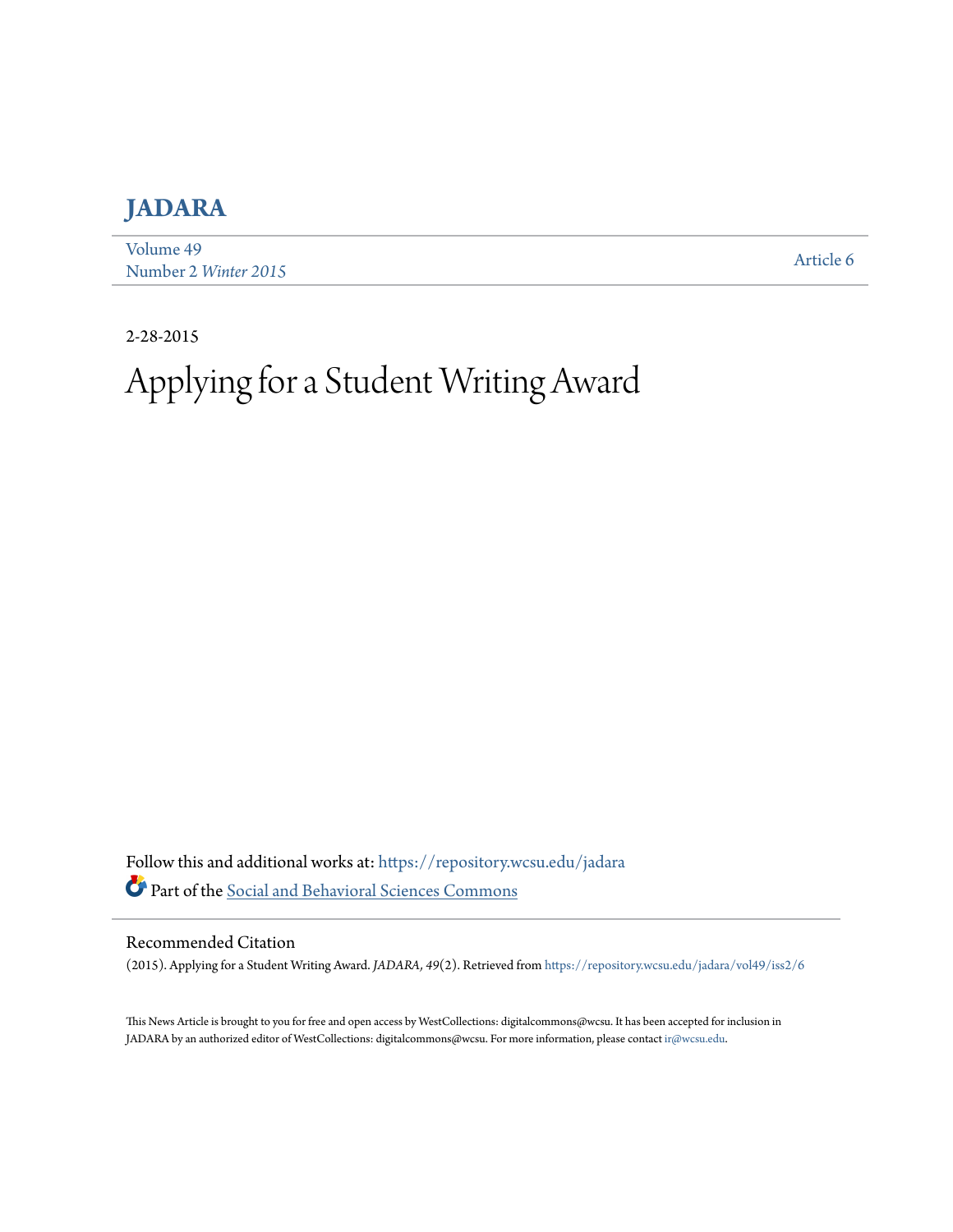## **[JADARA](https://repository.wcsu.edu/jadara?utm_source=repository.wcsu.edu%2Fjadara%2Fvol49%2Fiss2%2F6&utm_medium=PDF&utm_campaign=PDFCoverPages)**

[Volume 49](https://repository.wcsu.edu/jadara/vol49?utm_source=repository.wcsu.edu%2Fjadara%2Fvol49%2Fiss2%2F6&utm_medium=PDF&utm_campaign=PDFCoverPages) Number 2 *[Winter 2015](https://repository.wcsu.edu/jadara/vol49/iss2?utm_source=repository.wcsu.edu%2Fjadara%2Fvol49%2Fiss2%2F6&utm_medium=PDF&utm_campaign=PDFCoverPages)* [Article 6](https://repository.wcsu.edu/jadara/vol49/iss2/6?utm_source=repository.wcsu.edu%2Fjadara%2Fvol49%2Fiss2%2F6&utm_medium=PDF&utm_campaign=PDFCoverPages)

2-28-2015

## Applying for a Student Writing Award

Follow this and additional works at: [https://repository.wcsu.edu/jadara](https://repository.wcsu.edu/jadara?utm_source=repository.wcsu.edu%2Fjadara%2Fvol49%2Fiss2%2F6&utm_medium=PDF&utm_campaign=PDFCoverPages) Part of the [Social and Behavioral Sciences Commons](http://network.bepress.com/hgg/discipline/316?utm_source=repository.wcsu.edu%2Fjadara%2Fvol49%2Fiss2%2F6&utm_medium=PDF&utm_campaign=PDFCoverPages)

Recommended Citation

(2015). Applying for a Student Writing Award. *JADARA, 49*(2). Retrieved from [https://repository.wcsu.edu/jadara/vol49/iss2/6](https://repository.wcsu.edu/jadara/vol49/iss2/6?utm_source=repository.wcsu.edu%2Fjadara%2Fvol49%2Fiss2%2F6&utm_medium=PDF&utm_campaign=PDFCoverPages)

This News Article is brought to you for free and open access by WestCollections: digitalcommons@wcsu. It has been accepted for inclusion in JADARA by an authorized editor of WestCollections: digitalcommons@wcsu. For more information, please contact [ir@wcsu.edu.](mailto:ir@wcsu.edu)